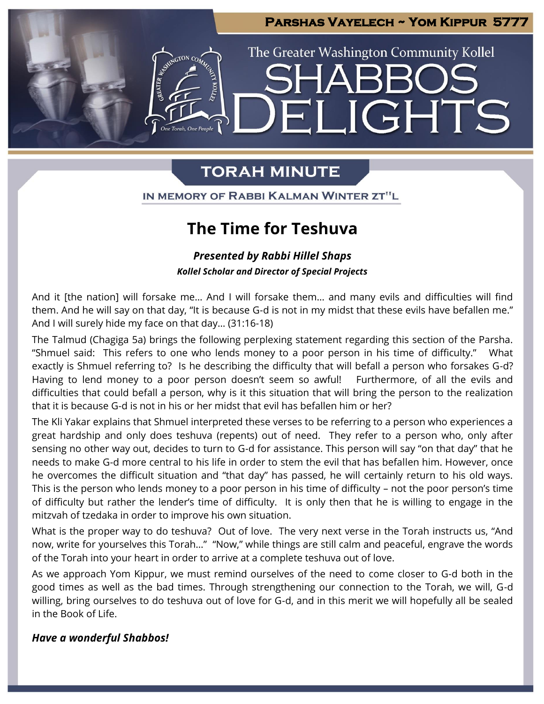

GHTS

The Greater Washington Community Kollel

# **TORAH MINUTE**

IN MEMORY OF RABBI KALMAN WINTER ZT"L

# **The Time for Teshuva**

### *Presented by Rabbi Hillel Shaps Kollel Scholar and Director of Special Projects*

And it [the nation] will forsake me… And I will forsake them… and many evils and difficulties will find them. And he will say on that day, "It is because G-d is not in my midst that these evils have befallen me." And I will surely hide my face on that day… (31:16-18)

The Talmud (Chagiga 5a) brings the following perplexing statement regarding this section of the Parsha. "Shmuel said: This refers to one who lends money to a poor person in his time of difficulty." What exactly is Shmuel referring to? Is he describing the difficulty that will befall a person who forsakes G-d? Having to lend money to a poor person doesn't seem so awful! Furthermore, of all the evils and difficulties that could befall a person, why is it this situation that will bring the person to the realization that it is because G-d is not in his or her midst that evil has befallen him or her?

The Kli Yakar explains that Shmuel interpreted these verses to be referring to a person who experiences a great hardship and only does teshuva (repents) out of need. They refer to a person who, only after sensing no other way out, decides to turn to G-d for assistance. This person will say "on that day" that he needs to make G-d more central to his life in order to stem the evil that has befallen him. However, once he overcomes the difficult situation and "that day" has passed, he will certainly return to his old ways. This is the person who lends money to a poor person in his time of difficulty – not the poor person's time of difficulty but rather the lender's time of difficulty. It is only then that he is willing to engage in the mitzvah of tzedaka in order to improve his own situation.

What is the proper way to do teshuva? Out of love. The very next verse in the Torah instructs us, "And now, write for yourselves this Torah…" "Now," while things are still calm and peaceful, engrave the words of the Torah into your heart in order to arrive at a complete teshuva out of love.

As we approach Yom Kippur, we must remind ourselves of the need to come closer to G-d both in the good times as well as the bad times. Through strengthening our connection to the Torah, we will, G-d willing, bring ourselves to do teshuva out of love for G-d, and in this merit we will hopefully all be sealed in the Book of Life.

### *Have a wonderful Shabbos!*